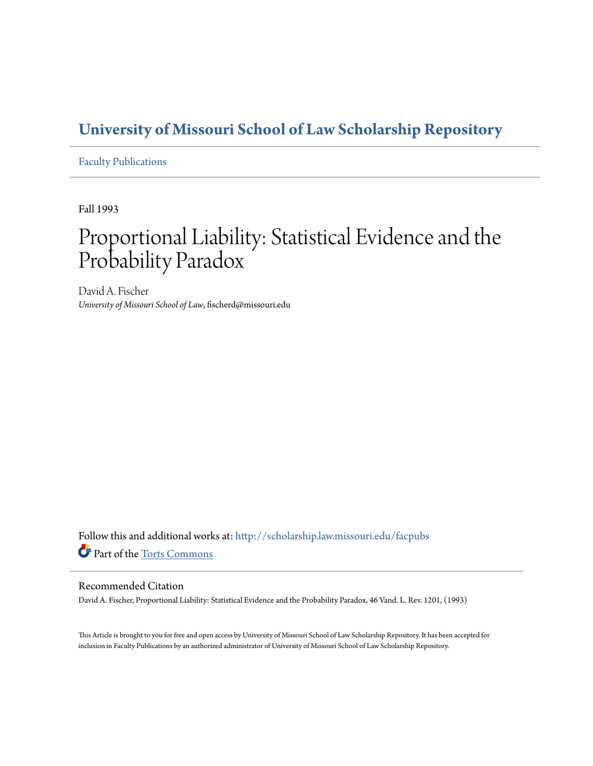### **[University of Missouri School of Law Scholarship Repository](http://scholarship.law.missouri.edu?utm_source=scholarship.law.missouri.edu%2Ffacpubs%2F184&utm_medium=PDF&utm_campaign=PDFCoverPages)**

[Faculty Publications](http://scholarship.law.missouri.edu/facpubs?utm_source=scholarship.law.missouri.edu%2Ffacpubs%2F184&utm_medium=PDF&utm_campaign=PDFCoverPages)

Fall 1993

# Proportional Liability: Statistical Evidence and the Probability Paradox

David A. Fischer *University of Missouri School of Law*, fischerd@missouri.edu

Follow this and additional works at: [http://scholarship.law.missouri.edu/facpubs](http://scholarship.law.missouri.edu/facpubs?utm_source=scholarship.law.missouri.edu%2Ffacpubs%2F184&utm_medium=PDF&utm_campaign=PDFCoverPages) Part of the [Torts Commons](http://network.bepress.com/hgg/discipline/913?utm_source=scholarship.law.missouri.edu%2Ffacpubs%2F184&utm_medium=PDF&utm_campaign=PDFCoverPages)

#### Recommended Citation

David A. Fischer, Proportional Liability: Statistical Evidence and the Probability Paradox, 46 Vand. L. Rev. 1201, (1993)

This Article is brought to you for free and open access by University of Missouri School of Law Scholarship Repository. It has been accepted for inclusion in Faculty Publications by an authorized administrator of University of Missouri School of Law Scholarship Repository.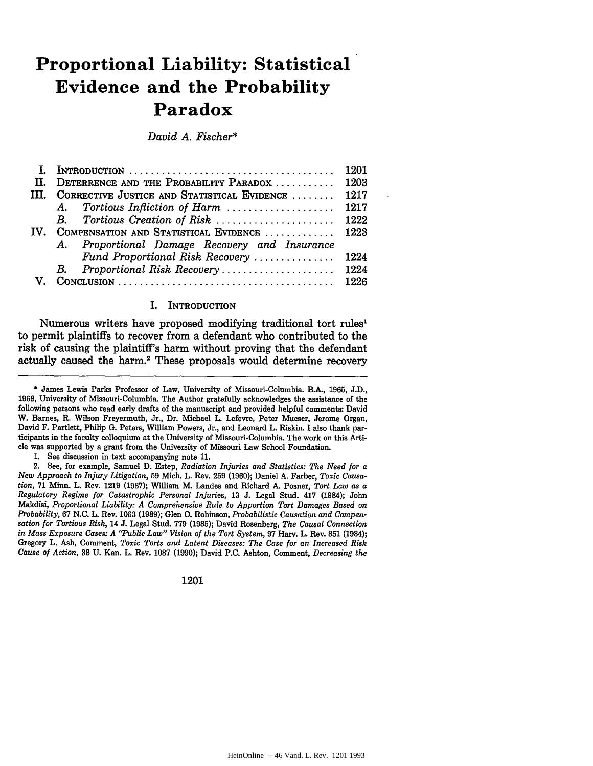## **Proportional Liability: Statistical Evidence and the Probability Paradox**

*David A. Fischer\**

|      |                                                  | 1201 |
|------|--------------------------------------------------|------|
| H.   | DETERRENCE AND THE PROBABILITY PARADOX  1203     |      |
| III. | CORRECTIVE JUSTICE AND STATISTICAL EVIDENCE      | 1217 |
|      | A. Tortious Infliction of Harm  1217             |      |
|      | <b>B</b> .                                       |      |
| IV.  | COMPENSATION AND STATISTICAL EVIDENCE  1223      |      |
|      | Proportional Damage Recovery and Insurance<br>A. |      |
|      | Fund Proportional Risk Recovery                  | 1224 |
|      | <b>B</b> .                                       |      |
|      |                                                  |      |

#### I. INTRODUCTION

Numerous writers have proposed modifying traditional tort rules1 to permit plaintiffs to recover from a defendant who contributed to the risk of causing the plaintiff's harm without proving that the defendant actually caused the harm.<sup>2</sup> These proposals would determine recovery

1. See discussion in text accompanying note 11.

2. See, for example, Samuel D. Estep, *Radiation Injuries and Statistics: The Need for a New Approach to Injury Litigation,* 59 Mich. L. Rev. 259 (1960); Daniel **A.** Farber, *Toxic Causation,* 71 Minn. L. Rev. 1219 (1987); William M. Landes and Richard A. Posner, *Tort Law as a Regulatory Regime for Catastrophic Personal Injuries,* 13 J. Legal Stud. 417 (1984); John Makdisi, *Proportional Liability: A Comprehensive Rule to Apportion Tort Damages Based on Probability,* 67 N.C. L. Rev. 1063 (1989); Glen **0.** Robinson, *Probabilistic Causation and Compensation for Tortious Risk,* 14 J. Legal Stud. 779 (1985); David Rosenberg, *The Causal Connection* in Mass Exposure Cases: A "Public Law" Vision of the Tort System, 97 Harv. L. Rev. 851 (1984); Gregory L. Ash, Comment, *Toxic Torts and Latent Diseases: The Case for an Increased Risk Cause of Action,* **38** U. Kan. L. Rev. 1087 (1990); David P.C. Ashton, Comment, *Decreasing the*

1201

**<sup>\*</sup>** James Lewis Parks Professor of Law, University of Missouri-Columbia. B.A., **1965, J.D., 1968,** University of Missouri-Columbia. The Author gratefully acknowledges the assistance of the following persons who read early drafts of the manuscript and provided helpful comments: David W. Barnes, R. Wilson Freyermuth, Jr., Dr. Michael L. Lefevre, Peter Mueser, Jerome Organ, David F. Partlett, Philip **G.** Peters, William Powers, Jr., and Leonard L. Riskin. I also thank participants in the faculty colloquium at the University of Missouri-Columbia. The work on this Article was supported by a grant from the University of Missouri Law School Foundation.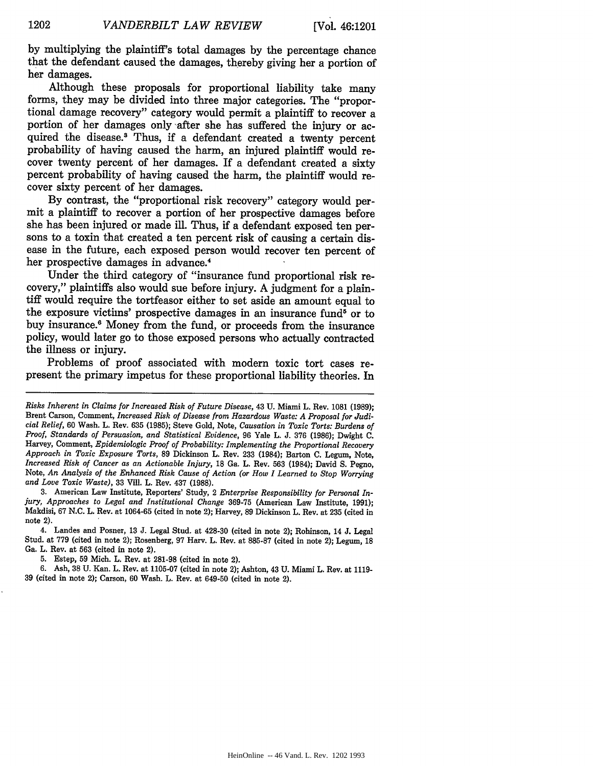by multiplying the plaintiff's total damages by the percentage chance that the defendant caused the damages, thereby giving her a portion of her damages.

Although these proposals for proportional liability take many forms, they may be divided into three major categories. The "proportional damage recovery" category would permit a plaintiff to recover a portion of her damages only after she has suffered the injury or acquired the disease.' Thus, if a defendant created a twenty percent probability of having caused the harm, an injured plaintiff would recover twenty percent of her damages. If a defendant created a sixty percent probability of having caused the harm, the plaintiff would recover sixty percent of her damages.

By contrast, the "proportional risk recovery" category would permit a plaintiff to recover a portion of her prospective damages before she has been injured or made ill. Thus, if a defendant exposed ten persons to a toxin that created a ten percent risk of causing a certain disease in the future, each exposed person would recover ten percent of her prospective damages in advance.4

Under the third category of "insurance fund proportional risk recovery," plaintiffs also would sue before injury. A judgment for a plaintiff would require the tortfeasor either to set aside an amount equal to the exposure victims' prospective damages in an insurance fund<sup>5</sup> or to buy insurance.6 Money from the fund, or proceeds from the insurance policy, would later go to those exposed persons who actually contracted the illness or injury.

Problems of proof associated with modern toxic tort cases represent the primary impetus for these proportional liability theories. In

3. American Law Institute, Reporters' Study, 2 *Enterprise Responsibility for Personal Injury, Approaches to Legal and Institutional Change* 369-75 (American Law Institute, 1991); Makdisi, 67 N.C. L. Rev. at 1064-65 (cited in note 2); Harvey, 89 Dickinson L. Rev. at 235 (cited in note 2).

4. Landes and Posner, **13** J. Legal Stud. at 428-30 (cited in note 2); Robinson, 14 J. Legal Stud. at 779 (cited in note 2); Rosenberg, 97 Harv. L. Rev. at 885-87 (cited in note 2); Legum, 18 Ga. L. Rev. at 563 (cited in note 2).

5. Estep, 59 Mich. L. Rev. at 281-98 (cited in note 2).

6. Ash, 38 U. Kan. L. Rev. at **1105-07** (cited in note 2); Ashton, 43 U. Miami L. Rev. at 1119- 39 (cited in note 2); Carson, 60 Wash. L. Rev. at 649-50 (cited in note 2).

*Risks Inherent in Claims for Increased Risk of Future Disease,* 43 U. Miami L. Rev. 1081 (1989); Brent Carson, Comment, *Increased Risk of Disease from Hazardous Waste: A Proposal for Judicial Relief,* 60 Wash. L. Rev. 635 (1985); Steve Gold, Note, *Causation in Toxic Torts: Burdens of Proof, Standards of Persuasion, and Statistical Evidence,* 96 Yale L. J. 376 (1986); Dwight C. Harvey, Comment, *Epidemiologic Proof of Probability: Implementing the Proportional Recovery Approach in Toxic Exposure Torts,* 89 Dickinson L. Rev. 233 (1984); Barton C. Legum, Note, *Increased Risk of Cancer as an Actionable Injury,* **18** Ga. L. Rev. 563 (1984); David S. Pegno, Note, *An Analysis of the Enhanced Risk Cause of Action (or How I Learned to Stop Worrying and Love Toxic Waste),* 33 Vill. L. Rev. 437 (1988).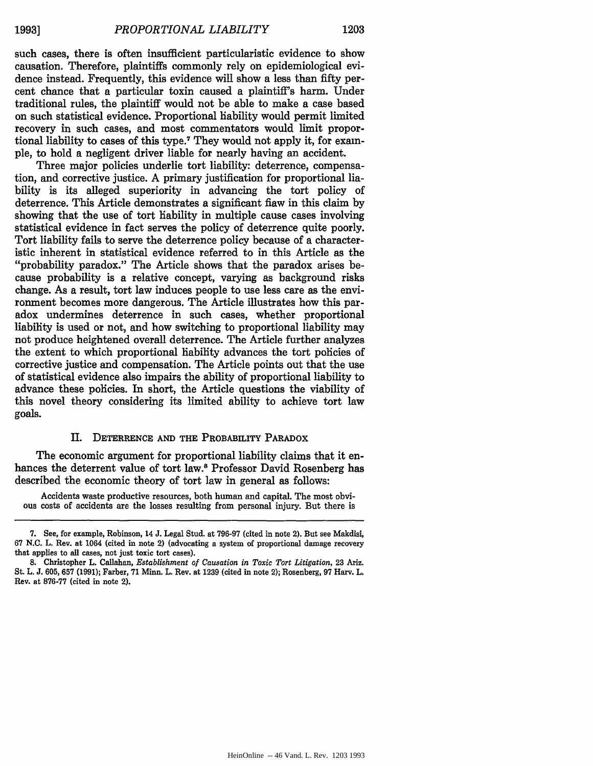such cases, there is often insufficient particularistic evidence to show causation. Therefore, plaintiffs commonly rely on epidemiological evidence instead. Frequently, this evidence will show a less than fifty percent chance that a particular toxin caused a plaintiff's harm. Under traditional rules, the plaintiff would not be able to make a case based on such statistical evidence. Proportional liability would permit limited recovery in such cases, and most commentators would limit proportional liability to cases of this type.7 They would not apply it, for example, to hold a negligent driver liable for nearly having an accident.

Three major policies underlie tort liability: deterrence, compensation, and corrective justice. A primary justification for proportional liability is its alleged superiority in advancing the tort policy of deterrence. This Article demonstrates a significant flaw in this claim by showing that the use of tort liability in multiple cause cases involving statistical evidence in fact serves the policy of deterrence quite poorly. Tort liability fails to serve the deterrence policy because of a characteristic inherent in statistical evidence referred to in this Article as the "probability paradox." The Article shows that the paradox arises because probability is a relative concept, varying as background risks change. As a result, tort law induces people to use less care as the environment becomes more dangerous. The Article illustrates how this paradox undermines deterrence in such cases, whether proportional liability is used or not, and how switching to proportional liability may not produce heightened overall deterrence. The Article further analyzes the extent to which proportional liability advances the tort policies of corrective justice and compensation. The Article points out that the use of statistical evidence also impairs the ability of proportional liability to advance these policies. In short, the Article questions the viability of this novel theory considering its limited ability to achieve tort law goals.

#### **II.** DETERRENCE **AND** THE PROBABILITY **PARADOX**

The economic argument for proportional liability claims that it enhances the deterrent value of tort law.8 Professor David Rosenberg has described the economic theory of tort law in general as follows:

Accidents waste productive resources, both human and capital. The most obvious costs of accidents are the losses resulting from personal injury. But there is

<sup>7.</sup> See, for example, Robinson, 14 J. Legal Stud. at 796-97 (cited in note 2). But see Makdisi, 67 N.C. L. Rev. at 1064 (cited in note 2) (advocating a system of proportional damage recovery that applies to all cases, not just toxic tort cases).

**<sup>8.</sup>** Christopher L. Callahan, *Establishment of Causation in Toxic Tort Litigation,* 23 Ariz. St. L. J. 605, 657 (1991); Farber, 71 Minn. L. Rev. at 1239 (cited in note 2); Rosenberg, 97 Harv. L. Rev. at 876-77 (cited in note 2).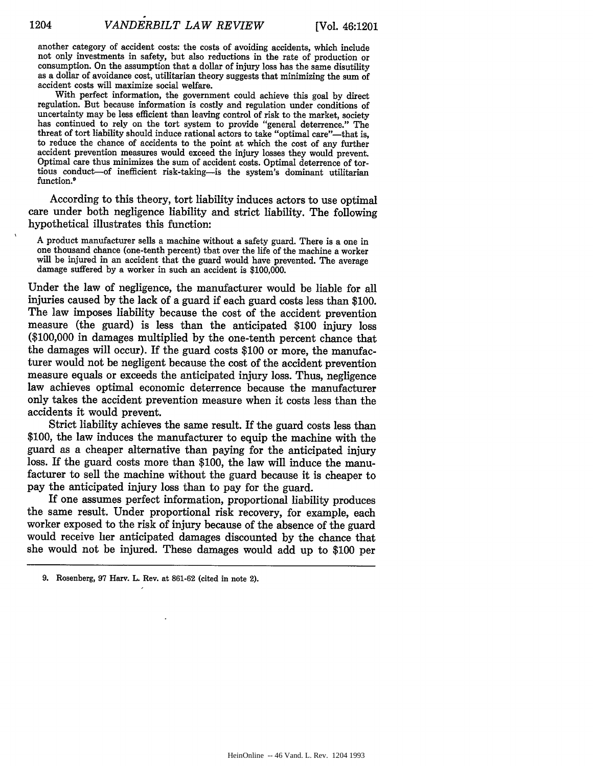another category of accident costs: the costs of avoiding accidents, which include not only investments in safety, but also reductions in the rate of production or consumption. On the assumption that a dollar of injury loss has the same disutility as a dollar of avoidance cost, utilitarian theory suggests that minimizing the sum of accident costs will maximize social welfare.

With perfect information, the government could achieve this goal **by** direct regulation. But because information is costly and regulation under conditions of uncertainty may be less efficient than leaving control of risk to the market, society has continued to rely on the tort system to provide "general deterrence." The threat of tort liability should induce rational actors to take "optimal care"--that is, to reduce the chance of accidents to the point at which the cost of any further accident prevention measures would exceed the injury losses they would prevent. Optimal care thus minimizes the sum of accident costs. Optimal deterrence of tortious conduct-of inefficient risk-taking-is the system's dominant utilitarian function.<sup>9</sup>

According to this theory, tort liability induces actors to use optimal care under both negligence liability and strict liability. The following hypothetical illustrates this function:

**A** product manufacturer sells a machine without a safety guard. There is a one in one thousand chance (one-tenth percent) that over the life of the machine a worker will be injured in an accident that the guard would have prevented. The average damage suffered **by** a worker in such an accident is **\$100,000.**

Under the law of negligence, the manufacturer would be liable for all injuries caused by the lack of a guard if each guard costs less than \$100. The law imposes liability because the cost of the accident prevention measure (the guard) is less than the anticipated \$100 injury loss (\$100,000 in damages multiplied by the one-tenth percent chance that the damages will occur). If the guard costs \$100 or more, the manufacturer would not be negligent because the cost of the accident prevention measure equals or exceeds the anticipated injury loss. Thus, negligence law achieves optimal economic deterrence because the manufacturer only takes the accident prevention measure when it costs less than the accidents it would prevent.

Strict liability achieves the same result. If the guard costs less than \$100, the law induces the manufacturer to equip the machine with the guard as a cheaper alternative than paying for the anticipated injury loss. If the guard costs more than \$100, the law will induce the manufacturer to sell the machine without the guard because it is cheaper to pay the anticipated injury loss than to pay for the guard.

If one assumes perfect information, proportional liability produces the same result. Under proportional risk recovery, for example, each worker exposed to the risk of injury because of the absence of the guard would receive her anticipated damages discounted by the chance that she would not be injured. These damages would add up to \$100 per

**<sup>9.</sup>** Rosenberg, **97** Harv. L. Rev. at 861-62 (cited in note 2).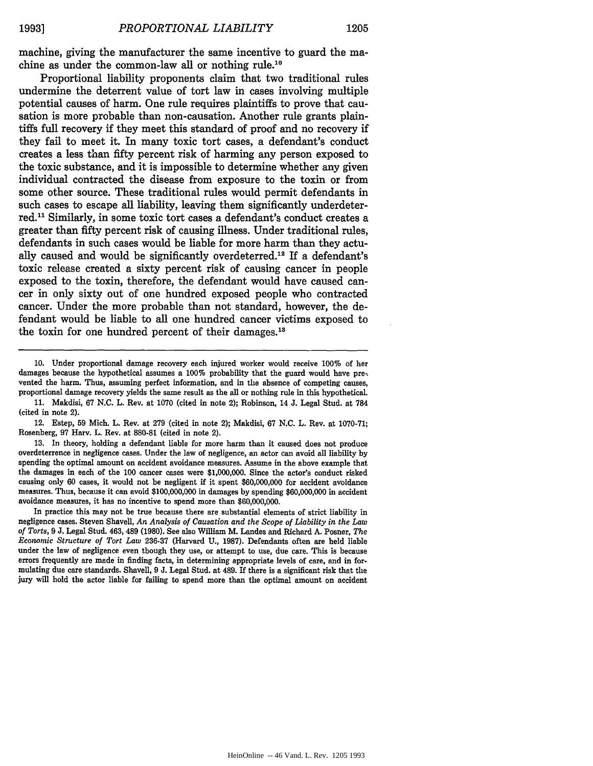machine, giving the manufacturer the same incentive to guard the machine as under the common-law all or nothing rule.<sup>10</sup>

Proportional liability proponents claim that two traditional rules undermine the deterrent value of tort law in cases involving multiple potential causes of harm. One rule requires plaintiffs to prove that causation is more probable than non-causation. Another rule grants plaintiffs full recovery if they meet this standard of proof and no recovery if they fail to meet it. **In** many toxic tort cases, a defendant's conduct creates a less than fifty percent risk of harming any person exposed to the toxic substance, and it is impossible to determine whether any given individual contracted the disease from exposure to the toxin or from some other source. These traditional rules would permit defendants in such cases to escape all liability, leaving them significantly underdeterred.<sup>11</sup> Similarly, in some toxic tort cases a defendant's conduct creates a greater than fifty percent risk of causing illness. Under traditional rules, defendants in such cases would be liable for more harm than they actually caused and would be significantly overdeterred.<sup>12</sup> If a defendant's toxic release created a sixty percent risk of causing cancer in people exposed to the toxin, therefore, the defendant would have caused cancer in only sixty out of one hundred exposed people who contracted cancer. Under the more probable than not standard, however, the defendant would be liable to all one hundred cancer victims exposed to the toxin for one hundred percent of their damages.<sup>18</sup>

**10.** Under proportional damage recovery each injured worker would receive **100%** of her damages because the hypothetical assumes a **100%** probability that the guard would have pre-. vented the harm. Thus, assuming perfect information, and in the absence of competing causes, proportional damage recovery yields the same result as the all or nothing rule in this hypothetical.

11. Makdisi, 67 N.C. L. Rev. at 1070 (cited in note 2); Robinson, 14 J. Legal Stud. at 784 (cited in note 2).

12. Estep, **59** Mich. L. Rev. at **279** (cited in note 2); Makdisi, **67 N.C.** L. Rev. at **1070-71;** Rosenberg, **97** Harv. L. Rev. at **880-81** (cited in note 2).

**13.** In theory, holding a defendant liable for more harm than it caused does not produce overdeterrence in negligence cases. Under the law of negligence, an actor can avoid all liability **by** spending the optimal amount on accident avoidance measures. Assume in the above example that the damages in each of the **100** cancer cases were **\$1,000,000.** Since the actor's conduct risked causing only **60** cases, it would not be negligent if it spent **\$60,000,000** for accident avoidance measures. Thus, because it can avoid **\$100,000,000** in damages **by** spending \$60,000,000 in accident avoidance measures, it has no incentive to spend more than **\$60,000,000.**

In practice this may not be true because there are substantial elements of strict liability in negligence cases. Steven Shavell, *An Analysis of Causation and the Scope of Liability in the Law of Torts,* **9 J.** Legal Stud. 463, 489 **(1980).** See also **William** M. Landes and Richard **A.** Posner, *The Economic Structure of Tort Law* **236-37** (Harvard **U., 1987).** Defendants often are held liable under the law of negligence even though they use, or attempt to use, due care. This is because errors frequently are made in finding facts, in determining appropriate levels of care, and in formulating due care standards. Shavell, **9 J.** Legal Stud. at 489. If there is a significant risk that the jury will hold the actor liable for failing to spend more than the optimal amount on accident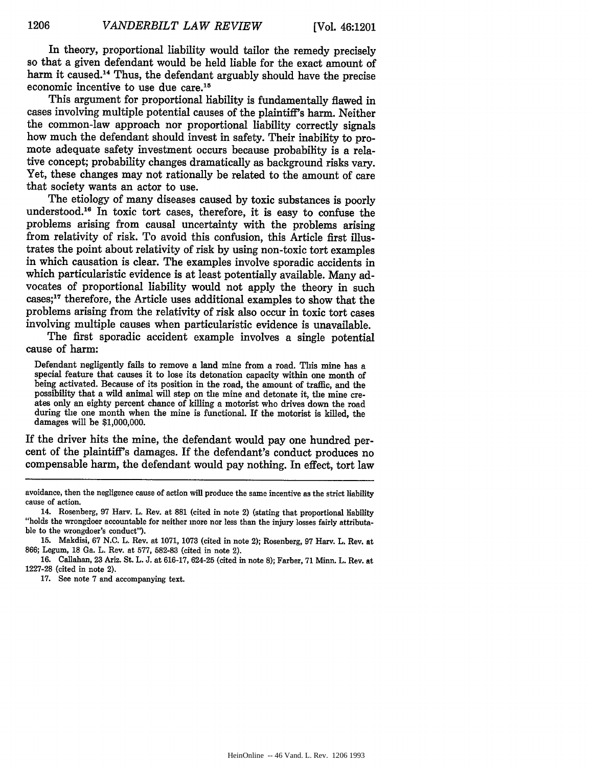In theory, proportional liability would tailor the remedy precisely so that a given defendant would be held liable for the exact amount of harm it caused.<sup>14</sup> Thus, the defendant arguably should have the precise economic incentive to use due care.15

This argument for proportional liability is fundamentally flawed in cases involving multiple potential causes of the plaintiff's harm. Neither the common-law approach nor proportional liability correctly signals how much the defendant should invest in safety. Their inability to promote adequate safety investment occurs because probability is a relative concept; probability changes dramatically as background risks vary. Yet, these changes may not rationally be related to the amount of care that society wants an actor to use.

The etiology of many diseases caused by toxic substances is poorly understood.<sup>16</sup> In toxic tort cases, therefore, it is easy to confuse the problems arising from causal uncertainty with the problems arising from relativity of risk. To avoid this confusion, this Article first illustrates the point about relativity of risk by using non-toxic tort examples in which causation is clear. The examples involve sporadic accidents in which particularistic evidence is at least potentially available. Many advocates of proportional liability would not apply the theory in such cases;<sup>17</sup> therefore, the Article uses additional examples to show that the problems arising from the relativity of risk also occur in toxic tort cases involving multiple causes when particularistic evidence is unavailable.

The first sporadic accident example involves a single potential cause of harm:

Defendant negligently fails to remove a land mine from a road. This mine has a special feature that causes it to lose its detonation capacity within one month of being activated. Because of its position in the road, the amount of traffic, and the possibility that a wild animal will step on the mine and detonate it, the mine cre- ates only an eighty percent chance of killing a motorist who drives down the road during the one month when the mine is functional. If the motorist is killed, the damages will be \$1,000,000.

If the driver hits the mine, the defendant would pay one hundred percent of the plaintiff's damages. If the defendant's conduct produces no compensable harm, the defendant would pay nothing. In effect, tort law

**17.** See note **7** and accompanying text.

avoidance, then the negligence cause of action will produce the same incentive as the strict liability cause of action.

<sup>14.</sup> Rosenberg, **97** Harv. L. Rev. at **881** (cited in note 2) (stating that proportional liability "holds the wrongdoer accountable for neither more nor less than the injury losses fairly attributable to the wrongdoer's conduct").

**<sup>15.</sup>** Makdisi, **67 N.C.** L. Rev. at **1071, 1073** (cited in note 2); Rosenberg, **97** Harv. L. Rev. at **866;** Legum, **18** Ga. L. Rev. at **577, 582-83** (cited in note 2).

**<sup>16.</sup>** Callahan, **23** Ariz. St. L. **J.** at **616-17,** 624-25 (cited in note **8);** Farber, **71** Minn. L. Rev. at **1227-28** (cited in note 2).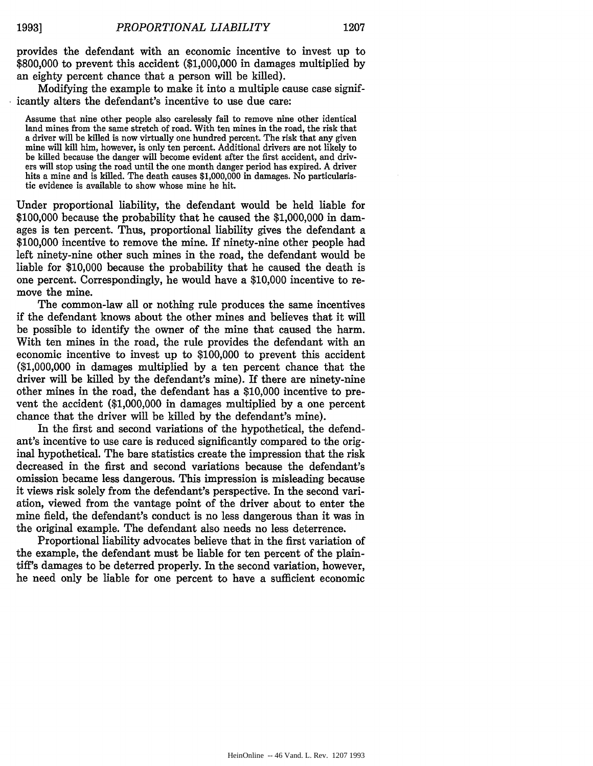provides the defendant with an economic incentive to invest up to \$800,000 to prevent this accident (\$1,000,000 in damages multiplied by an eighty percent chance that a person will be killed).

Modifying the example to make it into a multiple cause case significantly alters the defendant's incentive to use due care:

Assume that nine other people also carelessly fail to remove nine other identical land mines from the same stretch of road. With ten mines in the road, the risk that a driver will be killed is now virtually one hundred percent. The risk that any given mine will kill him, however, is only ten percent. Additional drivers are not likely to be killed because the danger will become evident after the first accident, and drivers will stop using the road until the one month danger period has expired. A driver hits a mine and is killed. The death causes \$1,000,000 in damages. No particularis- tic evidence is available to show whose mine he hit.

Under proportional liability, the defendant would be held liable for \$100,000 because the probability that he caused the \$1,000,000 in damages is ten percent. Thus, proportional liability gives the defendant a \$100,000 incentive to remove the mine. If ninety-nine other people had left ninety-nine other such mines in the road, the defendant would be liable for \$10,000 because the probability that he caused the death is one percent. Correspondingly, he would have a \$10,000 incentive to remove the mine.

The common-law all or nothing rule produces the same incentives if the defendant knows about the other mines and believes that it will be possible to identify the owner of the mine that caused the harm. With ten mines in the road, the rule provides the defendant with an economic incentive to invest up to \$100,000 to prevent this accident (\$1,000,000 in damages multiplied by a ten percent chance that the driver will be killed by the defendant's mine). If there are ninety-nine other mines in the road, the defendant has a \$10,000 incentive to prevent the accident (\$1,000,000 in damages multiplied by a one percent chance that the driver will be killed by the defendant's mine).

In the first and second variations of the hypothetical, the defendant's incentive to use care is reduced significantly compared to the original hypothetical. The bare statistics create the impression that the risk decreased in the first and second variations because the defendant's omission became less dangerous. This impression is misleading because it views risk solely from the defendant's perspective. In the second variation, viewed from the vantage point of the driver about to enter the mine field, the defendant's conduct is no less dangerous than it was in the original example. The defendant also needs no less deterrence.

Proportional liability advocates believe that in the first variation of the example, the defendant must be liable for ten percent of the plaintiff's damages to be deterred properly. In the second variation, however, he need only be liable for one percent to have a sufficient economic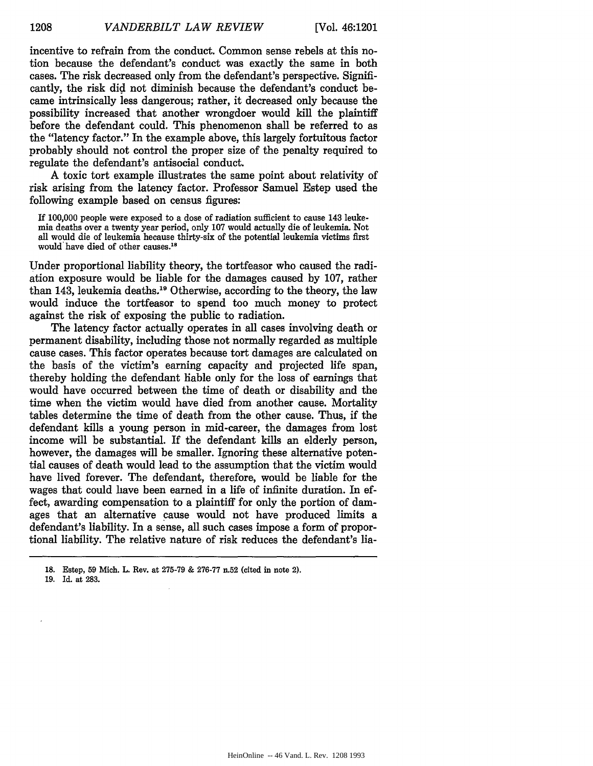incentive to refrain from the conduct. Common sense rebels at this notion because the defendant's conduct was exactly the same in both cases. The risk decreased only from the defendant's perspective. Significantly, the risk did not diminish because the defendant's conduct became intrinsically less dangerous; rather, it decreased only because the possibility increased that another wrongdoer would **kill** the plaintiff before the defendant could. This phenomenon shall be referred to as the "latency factor." In the example above, this largely fortuitous factor probably should not control the proper size of the penalty required to regulate the defendant's antisocial conduct.

A toxic tort example illustrates the same point about relativity of risk arising from the latency factor. Professor Samuel Estep used the following example based on census figures:

If **100,000** people were exposed to a dose of radiation sufficient to cause 143 leukemia deaths over a twenty year period, only **107** would actually die of leukemia. Not all would die of leukemia because thirty-six of the potential leukemia victims first would' have died of other causes. <sup>18</sup>

Under proportional liability theory, the tortfeasor who caused the radiation exposure would be liable for the damages caused **by 107,** rather than 143, leukemia deaths.<sup>19</sup> Otherwise, according to the theory, the law would induce the tortfeasor to spend too much money to protect against the risk of exposing the public to radiation.

The latency factor actually operates in all cases involving death or permanent disability, including those not normally regarded as multiple cause cases. This factor operates because tort damages are calculated on the basis of the victim's earning capacity and projected life span, thereby holding the defendant liable only for the loss of earnings that would have occurred between the time of death or disability and the time when the victim would have died from another cause. Mortality tables determine the time of death from the other cause. Thus, if the defendant kills a young person in mid-career, the damages from lost income will be substantial. **If** the defendant kills an elderly person, however, the damages will be smaller. Ignoring these alternative potential causes of death would lead to the assumption that the victim would have lived forever. The defendant, therefore, would be liable for the wages that could have been earned in a life of infinite duration. In effect, awarding compensation to a plaintiff for only the portion of damages that an alternative cause would not have produced limits a defendant's liability. In a sense, all such cases impose a form of proportional liability. The relative nature of risk reduces the defendant's lia-

**19. Id.** at **283.**

**<sup>18.</sup>** Estep, **59** Mich. L. Rev. at 275-79 & **276-77** n.52 (cited in note 2).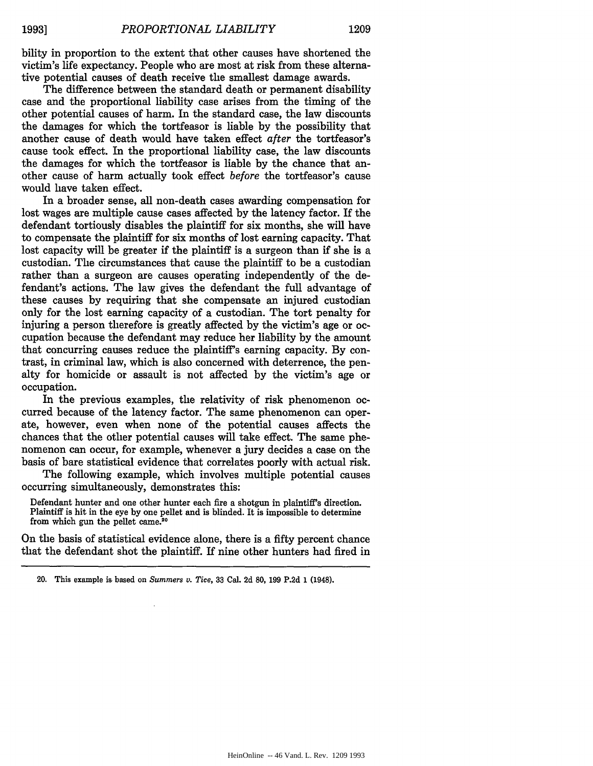bility in proportion to the extent that other causes have shortened the victim's life expectancy. People who are most at risk from these alternative potential causes of death receive the smallest damage awards.

The difference between the standard death or permanent disability case and the proportional liability case arises from the timing of the other potential causes of harm. In the standard case, the law discounts the damages for which the tortfeasor is liable **by** the possibility that another cause of death would have taken effect after the tortfeasor's cause took effect. In the proportional liability case, the law discounts the damages for which the tortfeasor is liable **by** the chance that another cause of harm actually took effect *before* the tortfeasor's cause would have taken effect.

In a broader sense, all non-death cases awarding compensation for lost wages are multiple cause cases affected **by** the latency factor. If the defendant tortiously disables the plaintiff for six months, she will have to compensate the plaintiff for six months of lost earning capacity. That lost capacity will be greater if the plaintiff is a surgeon than if she is a custodian. The circumstances that cause the plaintiff to be a custodian rather than a surgeon are causes operating independently of the defendant's actions. The law gives the defendant the full advantage of these causes by requiring that she compensate an injured custodian only for the lost earning capacity of a custodian. The tort penalty for injuring a person therefore is greatly affected by the victim's age or occupation because the defendant may reduce her liability by the amount that concurring causes reduce the plaintiff's earning capacity. By contrast, in criminal law, which is also concerned with deterrence, the penalty for homicide or assault is not affected by the victim's age or occupation.

In the previous examples, the relativity of risk phenomenon occurred because of the latency factor. The same phenomenon can operate, however, even when none of the potential causes affects the chances that the other potential causes will take effect. The same phenomenon can occur, for example, whenever a jury decides a case on the basis of bare statistical evidence that correlates poorly with actual risk.

The following example, which involves multiple potential causes occurring simultaneously, demonstrates this:

Defendant hunter and one other hunter each fire a shotgun in plaintiff's direction. Plaintiff is hit in the eye by one pellet and is blinded. It is impossible to determine from which gun the pellet came.<sup>20</sup>

On the basis of statistical evidence alone, there is a fifty percent chance that the defendant shot the plaintiff. If nine other hunters had fired in

<sup>20.</sup> This example is based on *Summers v. Tice,* **33** Cal. 2d **80,** 199 P.2d 1 (1948).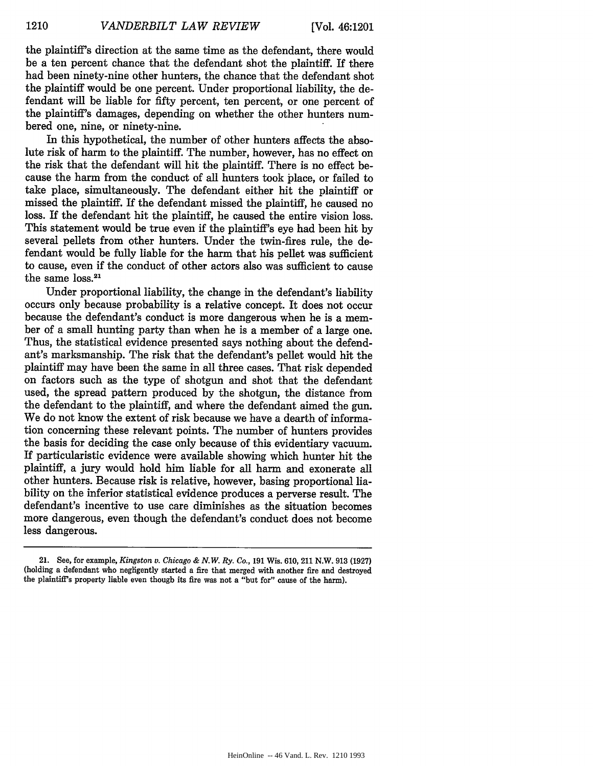the plaintiff's direction at the same time as the defendant, there would be a ten percent chance that the defendant shot the plaintiff. If there had been ninety-nine other hunters, the chance that the defendant shot the plaintiff would be one percent. Under proportional liability, the defendant will be liable for fifty percent, ten percent, or one percent of the plaintiff's damages, depending on whether the other hunters numbered one, nine, or ninety-nine.

In this hypothetical, the number of other hunters affects the absolute risk of harm to the plaintiff. The number, however, has no effect on the risk that the defendant will hit the plaintiff. There is no effect because the harm from the conduct of all hunters took place, or failed to take place, simultaneously. The defendant either hit the plaintiff or missed the plaintiff. If the defendant missed the plaintiff, he caused no loss. If the defendant hit the plaintiff, he caused the entire vision loss. This statement would be true even if the plaintiff's eye had been hit by several pellets from other hunters. Under the twin-fires rule, the defendant would be fully liable for the harm that his pellet was sufficient to cause, even if the conduct of other actors also was sufficient to cause the same loss.<sup>21</sup>

Under proportional liability, the change in the defendant's liability occurs only because probability is a relative concept. It does not occur because the defendant's conduct is more dangerous when he is a member of a small hunting party than when he is a member of a large one. Thus, the statistical evidence presented says nothing about the defendant's marksmanship. The risk that the defendant's pellet would hit the plaintiff may have been the same in all three cases. That risk depended on factors such as the type of shotgun and shot that the defendant used, the spread pattern produced by the shotgun, the distance from the defendant to the plaintiff, and where the defendant aimed the gun. We do not know the extent of risk because we have a dearth of information concerning these relevant points. The number of hunters provides the basis for deciding the case only because of this evidentiary vacuum. If particularistic evidence were available showing which hunter hit the plaintiff, a jury would hold him liable for all harm and exonerate all other hunters. Because risk is relative, however, basing proportional liability on the inferior statistical evidence produces a perverse result. The defendant's incentive to use care diminishes as the situation becomes more dangerous, even though the defendant's conduct does not become less dangerous.

<sup>21.</sup> See, for example, *Kingston v. Chicago & N.W. Ry. Co.,* 191 Wis. 610, 211 N.W. 913 (1927) (holding a defendant who negligently started a fire that merged with another fire and destroyed the plaintiff's property liable even though its fire was not a "but for" cause of the harm).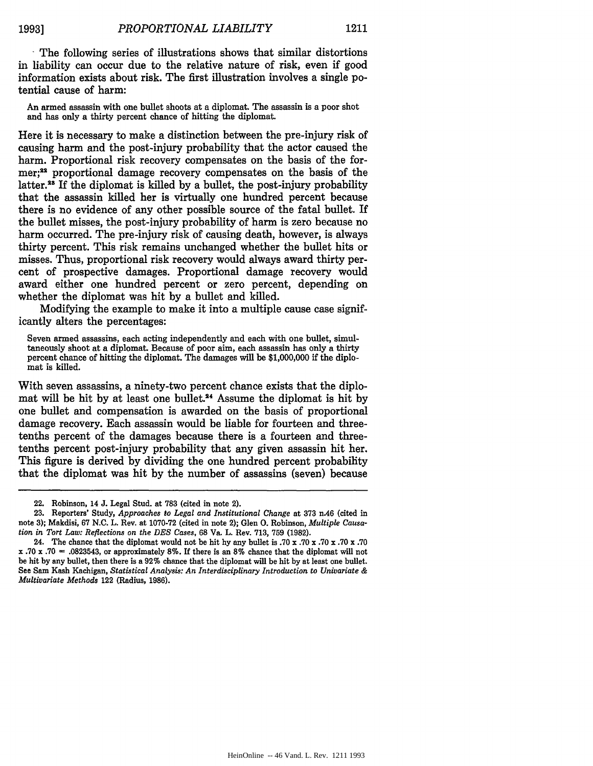The following series of illustrations shows that similar distortions in liability can occur due to the relative nature of risk, even if good information exists about risk. The first illustration involves a single potential cause of harm:

An armed assassin with one bullet shoots at a diplomat. The assassin is a poor shot and has only a thirty percent chance of hitting the diplomat.

Here it is necessary to make a distinction between the pre-injury risk of causing harm and the post-injury probability that the actor caused the harm. Proportional risk recovery compensates on the basis of the former;<sup>22</sup> proportional damage recovery compensates on the basis of the latter.<sup>28</sup> If the diplomat is killed by a bullet, the post-injury probability that the assassin killed her is virtually one hundred percent because there is no evidence of any other possible source of the fatal bullet. If the bullet misses, the post-injury probability of harm is zero because no harm occurred. The pre-injury risk of causing death, however, is always thirty percent. This risk remains unchanged whether the bullet hits or misses. Thus, proportional risk recovery would always award thirty percent of prospective damages. Proportional damage recovery would award either one hundred percent or zero percent, depending on whether the diplomat was hit by a bullet and killed.

Modifying the example to make it into a multiple cause case significantly alters the percentages:

Seven armed assassins, each acting independently and each with one bullet, simultaneously shoot at a diplomat. Because of poor aim, each assassin has only a thirty percent chance of hitting the diplomat. The damages will be \$1,000,000 if the diplomat is killed.

With seven assassins, a ninety-two percent chance exists that the diplomat will be hit by at least one bullet.<sup>24</sup> Assume the diplomat is hit by one bullet and compensation is awarded on the basis of proportional damage recovery. Each assassin would be liable for fourteen and threetenths percent of the damages because there is a fourteen and threetenths percent post-injury probability that any given assassin hit her. This figure is derived by dividing the one hundred percent probability that the diplomat was hit by the number of assassins (seven) because

<sup>22.</sup> Robinson, 14 **J.** Legal Stud. at **783** (cited in note 2).

**<sup>23.</sup>** Reporters' Study, *Approaches to Legal and Institutional Change* at **373** n.46 (cited in note **3);** Makdisi, **67 N.C.** L. Rev. at **1070-72** (cited in note 2); Glen **0.** Robinson, *Multiple Causation in Tort Law: Reflections on the DES Cases,* **68** Va. L. Rev. **713, 759 (1982).**

<sup>24.</sup> The chance that the diplomat would not be hit **by** any bullet is **.70 x .70** x **.70** x **.70** x **.70** x **.70 x .70 - .0823543,** or approximately **8%.** If there is an **8%** chance that the diplomat will not be hit **by** any bullet, then there is a **92%** chance that the diplomat will be hit **by** at least one bullet. See Sam Kash Kachigan, *Statistical Analysis: An Interdisciplinary Introduction to Univariate & Multivariate Methods* 122 (Radius, **1986).**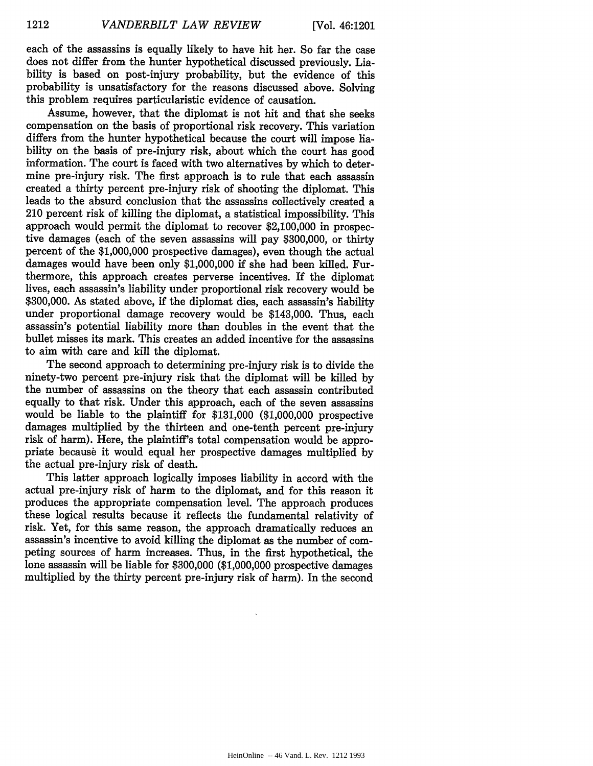each of the assassins is equally likely to have hit her. So far the case does not differ from the hunter hypothetical discussed previously. Liability is based on post-injury probability, but the evidence of this probability is unsatisfactory for the reasons discussed above. Solving this problem requires particularistic evidence of causation.

Assume, however, that the diplomat is not hit and that she seeks compensation on the basis of proportional risk recovery. This variation differs from the hunter hypothetical because the court will impose hability on the basis of pre-injury risk, about which the court has good information. The court is faced with two alternatives by which to determine pre-injury risk. The first approach is to rule that each assassin created a thirty percent pre-injury risk of shooting the diplomat. This leads to the absurd conclusion that the assassins collectively created a 210 percent risk of killing the diplomat, a statistical impossibility. This approach would permit the diplomat to recover \$2,100,000 in prospective damages (each of the seven assassins will pay \$300,000, or thirty percent of the \$1,000,000 prospective damages), even though the actual damages would have been only \$1,000,000 if she had been killed. Furthermore, this approach creates perverse incentives. If the diplomat lives, each assassin's liability under proportional risk recovery would be \$300,000. As stated above, if the diplomat dies, each assassin's hability under proportional damage recovery would be \$143,000. Thus, each assassin's potential liability more than doubles in the event that the bullet misses its mark. This creates an added incentive for the assassins to aim with care and kill the diplomat.

The second approach to determining pre-injury risk is to divide the ninety-two percent pre-injury risk that the diplomat will be killed by the number of assassins on the theory that each assassin contributed equally to that risk. Under this approach, each of the seven assassins would be liable to the plaintiff for \$131,000 (\$1,000,000 prospective damages multiplied by the thirteen and one-tenth percent pre-injury risk of harm). Here, the plaintiff's total compensation would be appropriate because it would equal her prospective damages multiplied by the actual pre-injury risk of death.

This latter approach logically imposes liability in accord with the actual pre-injury risk of harm to the diplomat, and for this reason it produces the appropriate compensation level. The approach produces these logical results because it reflects the fundamental relativity of risk. Yet, for this same reason, the approach dramatically reduces an assassin's incentive to avoid killing the diplomat as the number of competing sources of harm increases. Thus, in the first hypothetical, the lone assassin will be liable for \$300,000 (\$1,000,000 prospective damages multiplied by the thirty percent pre-injury risk of harm). In the second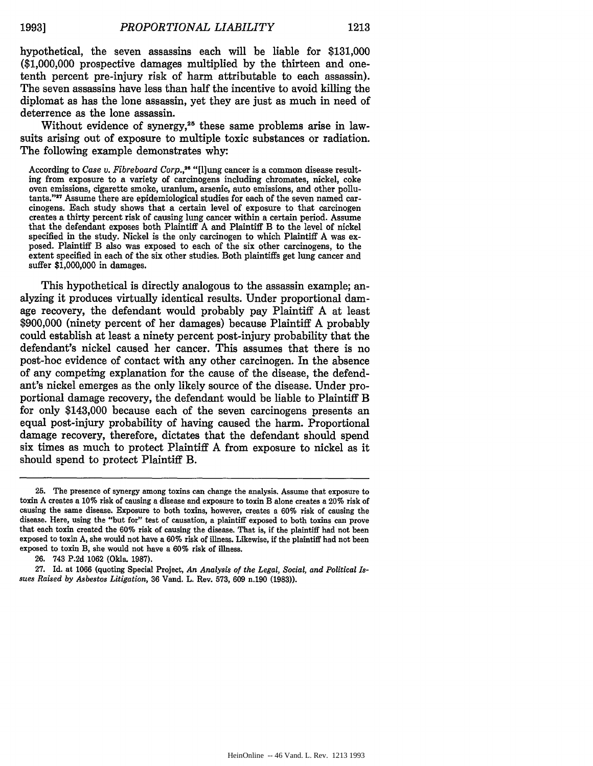hypothetical, the seven assassins each will be liable for \$131,000 (\$1,000,000 prospective damages multiplied by the thirteen and onetenth percent pre-injury risk of harm attributable to each assassin). The seven assassins have less than half the incentive to avoid killing the diplomat as has the lone assassin, yet they are just as much in need of deterrence as the lone assassin.

Without evidence of synergy, $25$  these same problems arise in lawsuits arising out of exposure to multiple toxic substances or radiation. The following example demonstrates why:

According to *Case v. Fibreboard Corp.,26* "[flung cancer is a common disease resulting from exposure to a variety of carcinogens including chromates, nickel, coke tants."<sup>27</sup> Assume there are epidemiological studies for each of the seven named carcinogens. Each study shows that a certain level of exposure to that carcinogen creates a thirty percent risk of causing lung cancer within a certain period. Assume that the defendant exposes both Plaintiff A and Plaintiff B to the level of nickel specified in the study. Nickel is the only carcinogen to which Plaintiff A was exposed. Plaintiff B also was exposed to each of the six other carcinogens, to the extent specified in each of the six other studies. Both plaintiffs get lung cancer and suffer \$1,000,000 in damages.

This hypothetical is directly analogous to the assassin example; analyzing it produces virtually identical results. Under proportional damage recovery, the defendant would probably pay Plaintiff A at least \$900,000 (ninety percent of her damages) because Plaintiff A probably could establish at least a ninety percent post-injury probability that the defendant's nickel caused her cancer. This assumes that there is no post-hoc evidence of contact with any other carcinogen. In the absence of any competing explanation for the cause of the disease, the defendant's nickel emerges as the only likely source of the disease. Under proportional damage recovery, the defendant would be liable to Plaintiff B for only \$143,000 because each of the seven carcinogens presents an equal post-injury probability of having caused the harm. Proportional damage recovery, therefore, dictates that the defendant should spend six times as much to protect Plaintiff A from exposure to nickel as it should spend to protect Plaintiff B.

**<sup>25.</sup>** The presence of synergy among toxins can change the analysis. Assume that exposure to toxin A creates a **10%** risk of causing a disease and exposure to toxin B alone creates a 20% risk of causing the same disease. Exposure to both toxins, however, creates a 60% risk of causing the disease. Here, using the "but for" test of causation, a plaintiff exposed to both toxins can prove that each toxin created the 60% risk of causing the disease. That is, if the plaintiff had not been exposed to toxin A, she would not have a 60% risk of illness. Likewise, if the plaintiff had not been exposed to toxin B, she would not have a 60% risk of illness.

<sup>26. 743</sup> P.2d 1062 (Okla. 1987).

<sup>27.</sup> Id. at 1066 (quoting Special Project, *An Analysis of the Legal, Social, and Political Issues Raised by Asbestos Litigation,* 36 Vand. L. Rev. 573, 609 n.190 (1983)).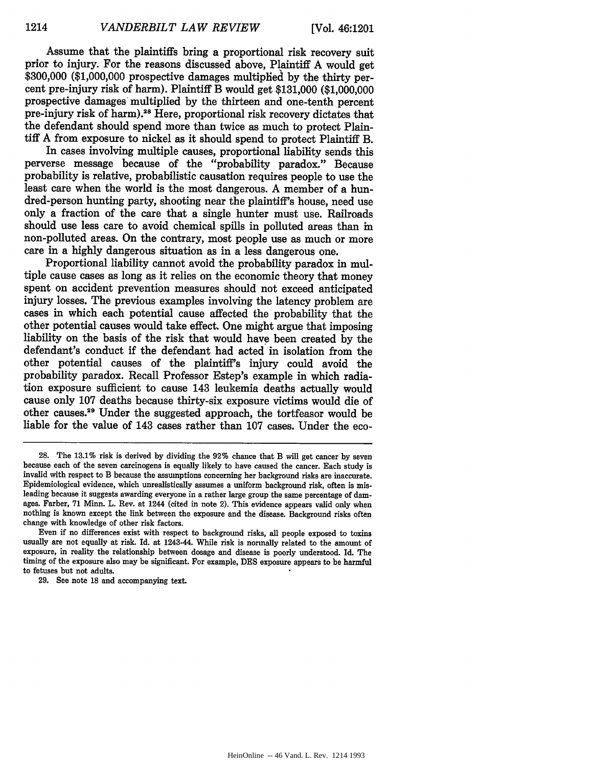Assume that the plaintiffs bring a proportional risk recovery suit prior to injury. For the reasons discussed above, Plaintiff A would get \$300,000 (\$1,000,000 prospective damages multiplied by the thirty percent pre-injury risk of harm). Plaintiff B would get \$131,000 (\$1,000,000 prospective damages multiplied by the thirteen and one-tenth percent pre-injury risk of harm).<sup>28</sup> Here, proportional risk recovery dictates that the defendant should spend more than twice as much to protect Plaintiff A from exposure to nickel as it should spend to protect Plaintiff B.

In cases involving multiple causes, proportional liability sends this perverse message because of the "probability paradox." Because probability is relative, probabilistic causation requires people to use the least care when the world is the most dangerous. A member of a hundred-person hunting party, shooting near the plaintiff's house, need use only a fraction of the care that a single hunter must use. Railroads should use less care to avoid chemical spills in polluted areas than in non-polluted areas. On the contrary, most people use as much or more care in a highly dangerous situation as in a less dangerous one.

Proportional liability cannot avoid the probability paradox in multiple cause cases as long as it relies on the economic theory that money spent on accident prevention measures should not exceed anticipated injury losses. The previous examples involving the latency problem are cases in which each potential cause affected the probability that the other potential causes would take effect. One might argue that imposing liability on the basis of the risk that would have been created by the defendant's conduct if the defendant had acted in isolation from the other potential causes of the plaintiff's injury could avoid the probability paradox. Recall Professor Estep's example in which radiation exposure sufficient to cause 143 leukemia deaths actually would cause only 107 deaths because thirty-six exposure victims would die of other causes.<sup>29</sup> Under the suggested approach, the tortfeasor would be liable for the value of 143 cases rather than 107 cases. Under the eco-

**<sup>28.</sup>** The **13.1%** risk is derived by dividing the 92% chance that B will get cancer by seven because each of the seven carcinogens is equally likely to have caused the cancer. Each study is invalid with respect to B because the assumptions concerning her background risks are inaccurate. Epidemiological evidence, which unrealistically assumes a uniform background risk, often is misleading because it suggests awarding everyone in a rather large group the same percentage of damages. Farber, **71** Minn. L. Rev. at 1244 (cited in note 2). This evidence appears valid only when nothing is known except the link between the exposure and the disease. Background risks often change with knowledge of other risk factors.

Even if no differences exist with respect to background risks, all people exposed to toxins usually are not equally at risk. Id. at 1243-44. While risk is normally related to the amount of exposure, in reality the relationship between dosage and disease is poorly understood. **Id.** The timing of the exposure also may be significant. For example, **DES** exposure appears to be harmful to fetuses but not adults.

**<sup>29.</sup>** See note **18** and accompanying text.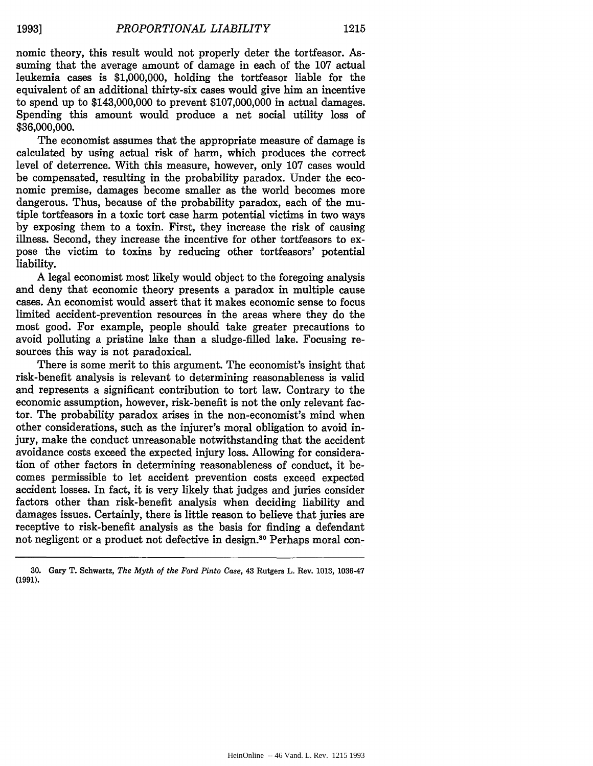nomic theory, this result would not properly deter the tortfeasor. Assuming that the average amount of damage in each of the 107 actual leukemia cases is \$1,000,000, holding the tortfeasor liable for the equivalent of an additional thirty-six cases would give him an incentive to spend up to \$143,000,000 to prevent \$107,000,000 in actual damages. Spending this amount would produce a net social utility loss of \$36,000,000.

The economist assumes that the appropriate measure of damage is calculated by using actual risk of harm, which produces the correct level of deterrence. With this measure, however, only 107 cases would be compensated, resulting in the probability paradox. Under the economic premise, damages become smaller as the world becomes more dangerous. Thus, because of the probability paradox, each of the mutiple tortfeasors in a toxic tort case harm potential victims in two ways by exposing them to a toxin. First, they increase the risk of causing illness. Second, they increase the incentive for other tortfeasors to expose the victim to toxins by reducing other tortfeasors' potential liability.

A legal economist most likely would object to the foregoing analysis and deny that economic theory presents a paradox in multiple cause cases. An economist would assert that it makes economic sense to focus limited accident-prevention resources in the areas where they do the most good. For example, people should take greater precautions to avoid polluting a pristine lake than a sludge-filled lake. Focusing resources this way is not paradoxical.

There is some merit to this argument. The economist's insight that risk-benefit analysis is relevant to determining reasonableness is valid and represents a significant contribution to tort law. Contrary to the economic assumption, however, risk-benefit is not the only relevant factor. The probability paradox arises in the non-economist's mind when other considerations, such as the injurer's moral obligation to avoid injury, make the conduct unreasonable notwithstanding that the accident avoidance costs exceed the expected injury loss. Allowing for consideration of other factors in determining reasonableness of conduct, it becomes permissible to let accident prevention costs exceed expected accident losses. In fact, it is very likely that judges and juries consider factors other than risk-benefit analysis when deciding liability and damages issues. Certainly, there is little reason to believe that juries are receptive to risk-benefit analysis as the basis for finding a defendant not negligent or a product not defective in design.<sup>30</sup> Perhaps moral con-

<sup>30.</sup> Gary T. Schwartz, *The Myth of the Ford Pinto Case,* 43 Rutgers L. Rev. 1013, 1036-47 **(1991).**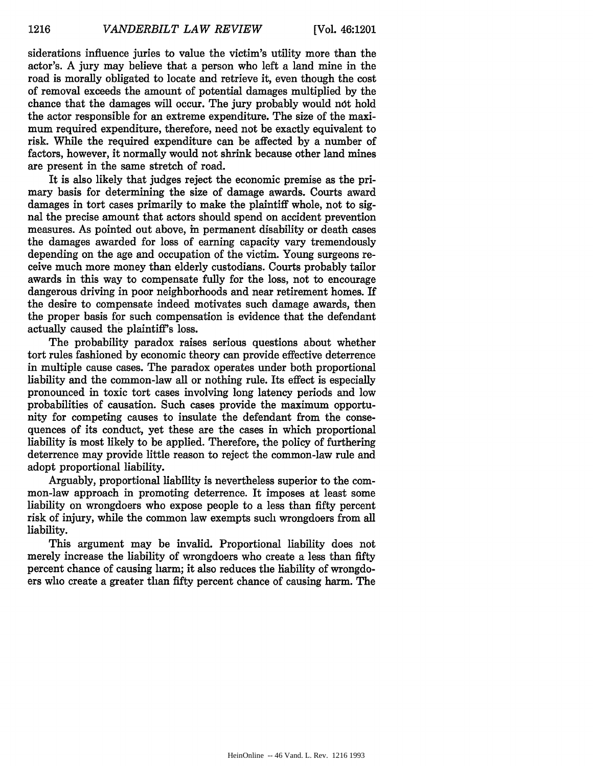siderations influence juries to value the victim's utility more than the actor's. A jury may believe that a person who left a land mine in the road is morally obligated to locate and retrieve it, even though the cost of removal exceeds the amount of potential damages multiplied **by** the chance that the damages will occur. The jury probably would ndt hold the actor responsible for an extreme expenditure. The size of the maximum required expenditure, therefore, need not be exactly equivalent to risk. While the required expenditure can be affected **by** a number of factors, however, it normally would not shrink because other land mines are present in the same stretch of road.

It is also likely that judges reject the economic premise as the primary basis for determining the size of damage awards. Courts award damages in tort cases primarily to make the plaintiff whole, not to signal the precise amount that actors should spend on accident prevention measures. As pointed out above, in permanent disability or death cases the damages awarded for loss of earning capacity vary tremendously depending on the age and occupation of the victim. Young surgeons receive much more money than elderly custodians. Courts probably tailor awards in this way to compensate fully for the loss, not to encourage dangerous driving in poor neighborhoods and near retirement homes. If the desire to compensate indeed motivates such damage awards, then the proper basis for such compensation is evidence that the defendant actually caused the plaintiff's loss.

The probability paradox raises serious questions about whether tort rules fashioned **by** economic theory can provide effective deterrence in multiple cause cases. The paradox operates under both proportional liability and the common-law all or nothing rule. Its effect is especially pronounced in toxic tort cases involving long latency periods and low probabilities of causation. Such cases provide the maximum opportunity for competing causes to insulate the defendant from the consequences of its conduct, yet these are the cases in which proportional liability is most likely to be applied. Therefore, the policy of furthering deterrence may provide little reason to reject the common-law rule and adopt proportional liability.

Arguably, proportional liability is nevertheless superior to the common-law approach in promoting deterrence. It imposes at least some liability on wrongdoers who expose people to a less than fifty percent risk of injury, while the common law exempts such wrongdoers from all liability.

This argument may be invalid. Proportional liability does not merely increase the liability of wrongdoers who create a less than fifty percent chance of causing harm; it also reduces the liability of wrongdoers who create a greater than fifty percent chance of causing harm. The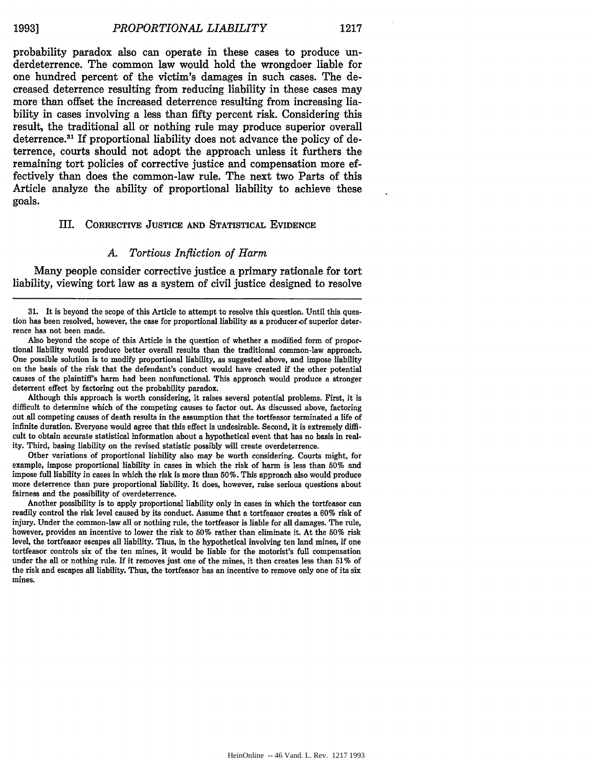probability paradox also can operate in these cases to produce underdeterrence. The common law would hold the wrongdoer liable for one hundred percent of the victim's damages in such cases. The decreased deterrence resulting from reducing liability in these cases may more than offset the increased deterrence resulting from increasing liability in cases involving a less than fifty percent risk. Considering this result, the traditional all or nothing rule may produce superior overall deterrence.31 If proportional liability does not advance the policy of deterrence, courts should not adopt the approach unless it furthers the remaining tort policies of corrective justice and compensation more effectively than does the common-law rule. The next two Parts of this Article analyze the ability of proportional liability to achieve these goals.

#### III. CORRECTIVE **JUSTICE AND** STATISTICAL EVIDENCE

#### *A. Tortious Infliction of Harm*

Many people consider corrective justice a primary rationale for tort liability, viewing tort law as a system of civil justice designed to resolve

Although this approach is worth considering, it raises several potential problems. First, it is difficult to determine which of the competing causes to factor out. As discussed above, factoring out all competing causes of death results in the assumption that the tortfeasor terminated a life of infinite duration. Everyone would agree that this effect is undesirable. Second, it is extremely difficult to obtain accurate statistical information about a hypothetical event that has no basis in reality. Third, basing liability on the revised statistic possibly will create overdeterrence.

Other variations of proportional liability also may be worth considering. Courts might, for example, impose proportional liability in cases in which the risk of harm is less than **50%** and impose full liability in cases in which the risk is more than **50%.** This approach also would produce more deterrence than pure proportional liability. It does, however, raise serious questions about fairness and the possibility of overdeterrence.

Another possibility is to apply proportional liability only in cases in which the tortfeasor can readily control the risk level caused **by** its conduct. Assume that a tortfeasor creates a **60%** risk of injury. Under the common-law all or nothing rule, the tortfeasor is liable for all damages. The rule, however, provides an incentive to lower the risk to **50%** rather than eliminate it. At the **50%** risk level, the tortfeasor escapes all liability. Thus, in the hypothetical involving ten land mines, if one tortfeasor controls six of the ten mines, it would be liable for the motorist's **full** compensation under the all or nothing rule. If it removes just one of the mines, it then creates less than **51%** of the risk and escapes all liability. Thus, the tortfeasor has an incentive to remove only one of its six mines.

<sup>31.</sup> It is beyond the scope of this Article to attempt to resolve this question. Until this question has been resolved, however, the case for proportional liability as a producer of superior deterrence has not been made.

Also beyond the scope of this Article is the question of whether a modified form of proportional liability would produce better overall results than the traditional common-law approach. One possible solution is to modify proportional liability, as suggested above, and impose liability on the basis of the risk that the defendant's conduct would have created if the other potential causes of the plaintiff's harm had been nonfunctional. This approach would produce a stronger deterrent effect **by** factoring out the probability paradox.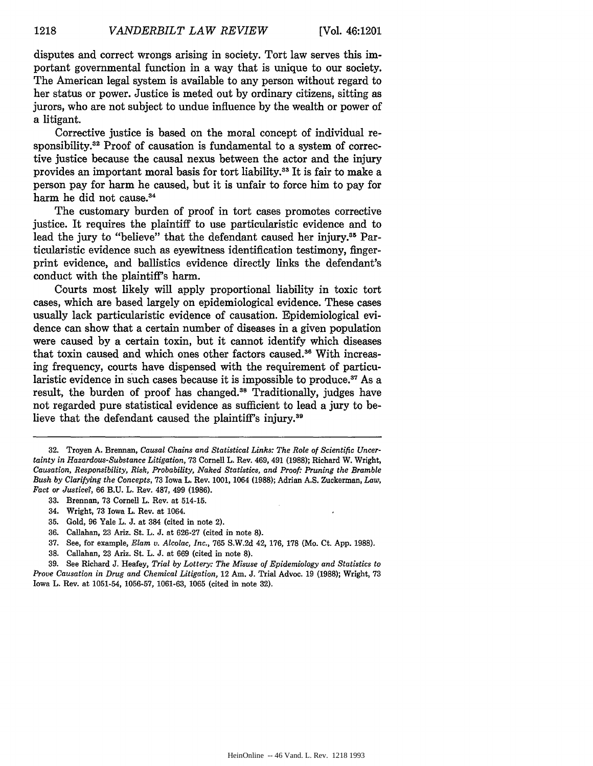disputes and correct wrongs arising in society. Tort law serves this important governmental function in a way that is unique to our society. The American legal system is available to any person without regard to her status or power. Justice is meted out by ordinary citizens, sitting as jurors, who are not subject to undue influence by the wealth or power of a litigant.

Corrective justice is based on the moral concept of individual responsibility.<sup>32</sup> Proof of causation is fundamental to a system of corrective justice because the causal nexus between the actor and the injury provides an important moral basis for tort liability.<sup>33</sup> It is fair to make a person pay for harm he caused, but it is unfair to force him to pay for harm he did not cause.<sup>34</sup>

The customary burden of proof in tort cases promotes corrective justice. It requires the plaintiff to use particularistic evidence and to lead the jury to "believe" that the defendant caused her injury.<sup>35</sup> Particularistic evidence such as eyewitness identification testimony, fingerprint evidence, and ballistics evidence directly links the defendant's conduct with the plaintiff's harm.

Courts most likely will apply proportional liability in toxic tort cases, which are based largely on epidemiological evidence. These cases usually lack particularistic evidence of causation. Epidemiological evidence can show that a certain number of diseases in a given population were caused by a certain toxin, but it cannot identify which diseases that toxin caused and which ones other factors caused.<sup>36</sup> With increasing frequency, courts have dispensed with the requirement of particularistic evidence in such cases because it is impossible to produce.<sup>37</sup> As a result, the burden of proof has changed.<sup>38</sup> Traditionally, judges have not regarded pure statistical evidence as sufficient to lead a jury to believe that the defendant caused the plaintiff's injury.<sup>39</sup>

**32.** Troyen **A.** Brennan, *Causal Chains and Statistical Links: The Role of Scientific Uncertainty in Hazardous-Substance Litigation,* 73 Cornell L. Rev. 469, 491 (1988); Richard W. Wright, *Causation, Responsibility, Risk, Probability, Naked Statistics, and Proof: Pruning the Bramble Bush by Clarifying the Concepts,* 73 Iowa L. Rev. 1001, 1064 (1988); Adrian A.S. Zuckerman, *Law, Fact or Justice?,* 66 B.U. L. Rev. 487, 499 (1986).

- 33. Brennan, 73 Cornell L. Rev. at 514-15.
- 34. Wright, 73 Iowa L. Rev. at 1064.
- 35. Gold, 96 Yale L. J. at 384 (cited in note 2).
- **36.** Callahan, 23 Ariz. St. L. **J.** at 626-27 (cited in note **8).**
- 37. See, for example, *Elam v. Alcolac, Inc.,* 765 S.W.2d 42, 176, 178 (Mo. Ct. App. **1988).**
- 38. Callahan, 23 Ariz. St. L. J. at 669 (cited in note 8).

39. See Richard J. Heafey, *Trial by Lottery: The Misuse of Epidemiology and Statistics to Prove Causation in Drug and Chemical Litigation,* 12 Am. J. Trial Advoc. 19 (1988); Wright, 73 Iowa L. Rev. at 1051-54, 1056-57, 1061-63, 1065 (cited in note 32).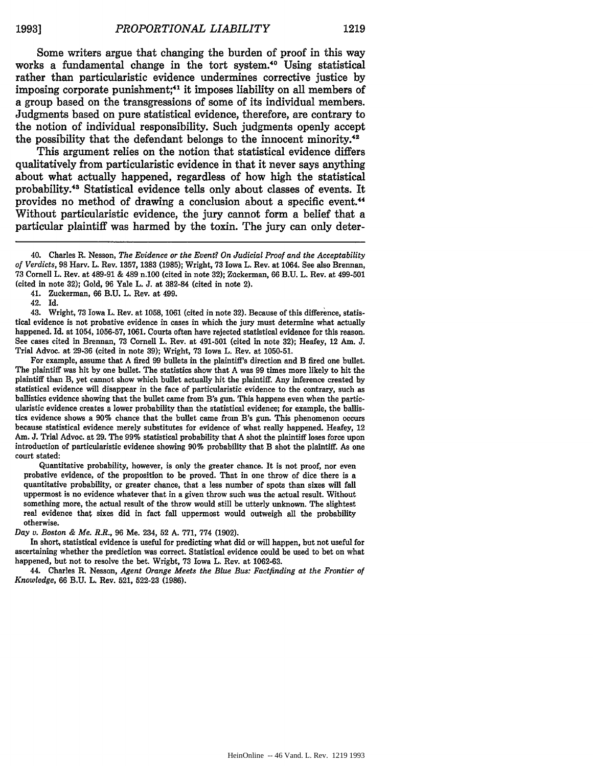Some writers argue that changing the burden of proof in this way works a fundamental change in the tort system.40 Using statistical rather than particularistic evidence undermines corrective justice **by** imposing corporate punishment;<sup>41</sup> it imposes liability on all members of a group based on the transgressions of some of its individual members. Judgments based on pure statistical evidence, therefore, are contrary to the notion of individual responsibility. Such judgments openly accept the possibility that the defendant belongs to the innocent minority.<sup>42</sup>

This argument relies on the notion that statistical evidence differs qualitatively from particularistic evidence in that it never says anything about what actually happened, regardless of how high the statistical probability.43 Statistical evidence tells only about classes of events. It provides no method of drawing a conclusion about a specific event.4 Without particularistic evidence, the jury cannot form a belief that a particular plaintiff was harmed **by** the toxin. The jury can only deter-

41. Zuckerman, 66 B.U. L. Rev. at 499.

42. Id. 43. Wright, 73 Iowa L. Rev. at 1058, 1061 (cited in note 32). Because of this difference, statistical evidence is not probative evidence in cases in which the jury must determine what actually happened. Id. at 1054, **1056-57, 1061.** Courts often have rejected statistical evidence for this reason. See cases cited in Brennan, **73** Cornell L. Rev. at 491-501 (cited in note **32);** Heafey, 12 Am. **J.** Trial Advoc. at **29-36** (cited in note **39);** Wright, **73** Iowa L. Rev. at **1050-51.**

For example, assume that **A** fired **99** bullets in the plaintiff's direction and B fired one bullet. The plaintiff was hit **by** one bullet. The statistics show that **A** was **99** times more likely to hit the plaintiff than B, yet cannot show which bullet actually hit the plaintiff. **Any** inference created **by** statistical evidence will disappear in the face of particularistic evidence to the contrary, such as ballistics evidence showing that the bullet came from **B's** gun. This happens even when the particularistic evidence creates a lower probability than the statistical evidence; for example, the ballistics evidence shows a **90%** chance that the bullet came from B's gun. This phenomenon occurs because statistical evidence merely substitutes for evidence of what really happened. Heafey, 12 Am. **J.** Trial Advoc. at **29.** The **99%** statistical probability that **A** shot the plaintiff loses force upon introduction of particularistic evidence showing **90%** probability that B shot the plaintiff. As one court stated:

Quantitative probability, however, is only the greater chance. It is not proof, nor even probative evidence, of the proposition to be proved. That in one throw of dice there is a quantitative probability, or greater chance, that a less number of spots than sixes will fall uppermost is no evidence whatever that in a given throw such was the actual result. Without something more, the actual result of the throw would still be utterly unknown. The slightest real evidence that sixes did in fact fall uppermost would outweigh all the probability otherwise.

*Day v. Boston & Me. R.R.,* **96** Me. 234, **52 A. 771, 774 (1902).**

In short, statistical evidence is useful for predicting what did or will happen, but not useful for ascertaining whether the prediction was correct. Statistical evidence could be used to bet on what happened, but not to resolve the bet. Wright, **73** Iowa L. Rev. at **1062-63.**

44. Charles R. Nesson, *Agent Orange Meets the Blue Bus: Factfinding at the Frontier of Knowledge,* 66 B.U. L. Rev. 521, 522-23 (1986).

<sup>40.</sup> Charles R. Nesson, *The Evidence or the Event? On Judicial Proof and the Acceptability of Verdicts,* 98 Harv. L. Rev. 1357, 1383 (1985); Wright, 73 Iowa L. Rev. at 1064. See also Brennan, 73 Cornell L. Rev. at 489-91 & 489 n.100 (cited in note 32); Zuckerman, 66 B.U. L. Rev. at 499-501 (cited in note 32); Gold, 96 Yale L. J. at 382-84 (cited in note 2).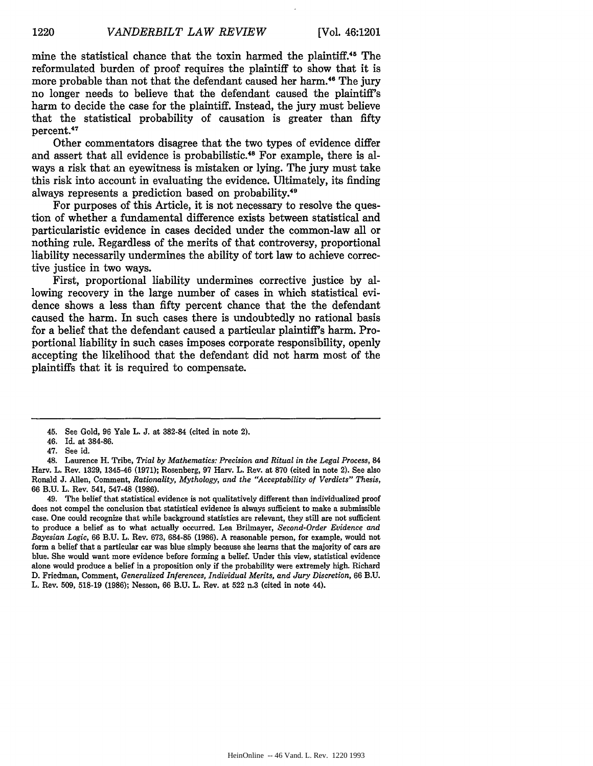mine the statistical chance that the toxin harmed the plaintiff.45 The reformulated burden of proof requires the plaintiff to show that it is more probable than not that the defendant caused her harm.<sup>46</sup> The jury no longer needs to believe that the defendant caused the plaintiff's harm to decide the case for the plaintiff. Instead, the jury must believe that the statistical probability of causation is greater than fifty percent.4"

Other commentators disagree that the two types of evidence differ and assert that all evidence is probabilistic.<sup>48</sup> For example, there is always a risk that an eyewitness is mistaken or lying. The jury must take this risk into account in evaluating the evidence. Ultimately, its finding always represents a prediction based on probability.<sup>49</sup>

For purposes of this Article, it is not necessary to resolve the question of whether a fundamental difference exists between statistical and particularistic evidence in cases decided under the common-law all or nothing rule. Regardless of the merits of that controversy, proportional liability necessarily undermines the ability of tort law to achieve corrective justice in two ways.

First, proportional liability undermines corrective justice by allowing recovery in the large number of cases in which statistical evidence shows a less than fifty percent chance that the the defendant caused the harm. In such cases there is undoubtedly no rational basis for a belief that the defendant caused a particular plaintiff's harm. Proportional liability in such cases imposes corporate responsibility, openly accepting the likelihood that the defendant did not harm most of the plaintiffs that it is required to compensate.

49. The belief that statistical evidence is not qualitatively different than individualized proof does not compel the conclusion that statistical evidence is always sufficient to make a submissible case. One could recognize that while background statistics are relevant, they still are not sufficient to produce a belief as to what actually occurred. Lea Brilmayer, *Second-Order Evidence and Bayesian Logic,* 66 B.U. L. Rev. 673, 684-85 (1986). A reasonable person, for example, would not form a belief that a particular car was blue simply because she learns that the majority of cars are blue. She would want more evidence before forming a belief. Under this view, statistical evidence alone would produce a belief in a proposition only if the probability were extremely high. Richard D. Friedman, Comment, *Generalized Inferences, Individual Merits, and Jury Discretion,* 66 B.U. L. Rev. 509, 518-19 (1986); Nesson, 66 B.U. L. Rev. at 522 n.3 (cited in note 44).

<sup>45.</sup> See Gold, 96 Yale L. **J.** at 382-84 (cited in note 2).

<sup>46.</sup> Id. at 384-86.

<sup>47.</sup> See id.

<sup>48.</sup> Laurence H. Tribe, *Trial by Mathematics: Precision and Ritual in the Legal Process, 84* Harv. L. Rev. 1329, 1345-46 (1971); Rosenberg, 97 Harv. L. Rev. at 870 (cited in note 2). See also Ronald J. Allen, Comment, *Rationality, Mythology, and the "Acceptability of Verdicts" Thesis,* 66 B.U. L. Rev. 541, 547-48 (1986).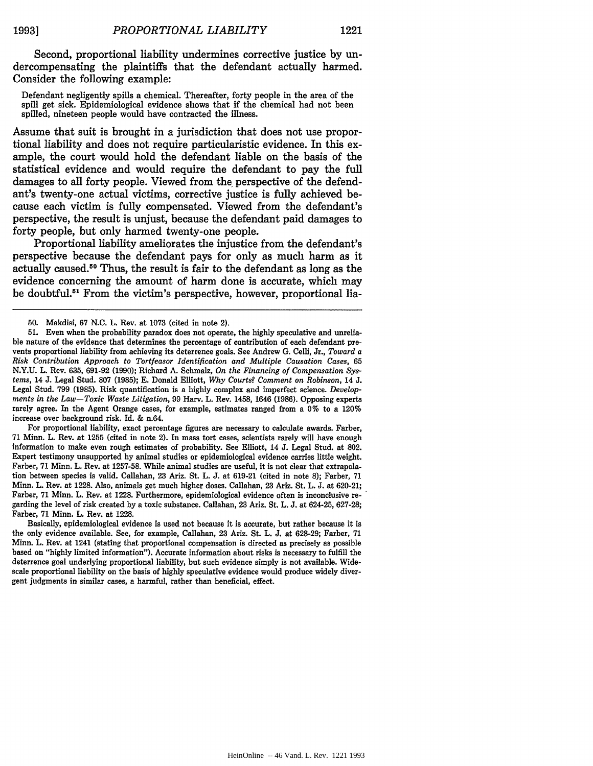Second, proportional liability undermines corrective justice **by** undercompensating the plaintiffs that the defendant actually harmed. Consider the following example:

Defendant negligently spills a chemical. Thereafter, forty people in the area of the spill get sick. Epidemiological evidence shows that if the chemical had not been spilled, nineteen people would have contracted the illness.

Assume that suit is brought in a jurisdiction that does not use proportional liability and does not require particularistic evidence. In this example, the court would hold the defendant liable on the basis of the statistical evidence and would require the defendant to pay the full damages to all forty people. Viewed from the perspective of the defendant's twenty-one actual victims, corrective justice is fully achieved because each victim is fully compensated. Viewed from the defendant's perspective, the result is unjust, because the defendant paid damages to forty people, but only harmed twenty-one people.

Proportional liability ameliorates the injustice from the defendant's perspective because the defendant pays for only as much harm as it actually caused.50 Thus, the result is fair to the defendant as long as the evidence concerning the amount of harm done is accurate, which may be doubtful.<sup>51</sup> From the victim's perspective, however, proportional lia-

For proportional liability, exact percentage figures are necessary to calculate awards. Farber, 71 Minn. L. Rev. at 1255 (cited in note 2). In mass tort cases, scientists rarely will have enough information to make even rough estimates of probability. See Elliott, 14 J. Legal Stud. at 802. Expert testimony unsupported by animal studies or epidemiological evidence carries little weight. Farber, 71 Minn. L. Rev. at 1257-58. While animal studies are useful, it is not clear that extrapolation between species is valid. Callahan, 23 Ariz. St. L. J. at 619-21 (cited in note 8); Farber, 71 Minn. L. Rev. at 1228. Also, animals get much higher doses. Callahan, **23** Ariz. St. L. J. at 620-21; Farber, 71 Minn. L. Rev. at 1228. Furthermore, epidemiological evidence often is inconclusive regarding the level of risk created by a toxic substance. Callahan, 23 Ariz. St. L. J. at 624-25, 627-28; Farber, 71 Minn. L. Rev. at 1228.

Basically, epidemiological evidence is used not because it is accurate, but rather because it is the only evidence available. See, for example, Callahan, 23 Ariz. St. L. J. at 628-29; Farber, 71 Minn. L. Rev. at 1241 (stating that proportional compensation is directed as precisely as possible based on "highly limited information"). Accurate information about risks is necessary to fulfill the deterrence goal underlying proportional liability, but such evidence simply is not available. Widescale proportional liability on the basis of highly speculative evidence would produce widely divergent judgments in similar cases, a harmful, rather than beneficial, effect.

<sup>50.</sup> Makdisi, 67 N.C. L. Rev. at 1073 (cited in note 2).

<sup>51.</sup> Even when the probability paradox does not operate, the highly speculative and unreliable nature of the evidence that determines the percentage of contribution of each defendant prevents proportional liability from achieving its deterrence goals. See Andrew G. Celli, Jr., *Toward a Risk Contribution Approach to Tortfeasor Identification and Multiple Causation Cases,* <sup>65</sup> N.Y.U. L. Rev. 635, 691-92 (1990); Richard A. Schmalz, *On the Financing of Compensation Systems,* 14 J. Legal Stud. 807 (1985); E. Donald Elliott, *Why Courts? Comment on Robinson,* 14 J. Legal Stud. 799 (1985). Risk quantification is a highly complex and imperfect science. *Developments in the Law-Toxic Waste Litigation,* 99 Harv. L. Rev. 1458, 1646 (1986). Opposing experts rarely agree. In the Agent Orange cases, for example, estimates ranged from a 0% to a 120% increase over background risk. Id. & n.64.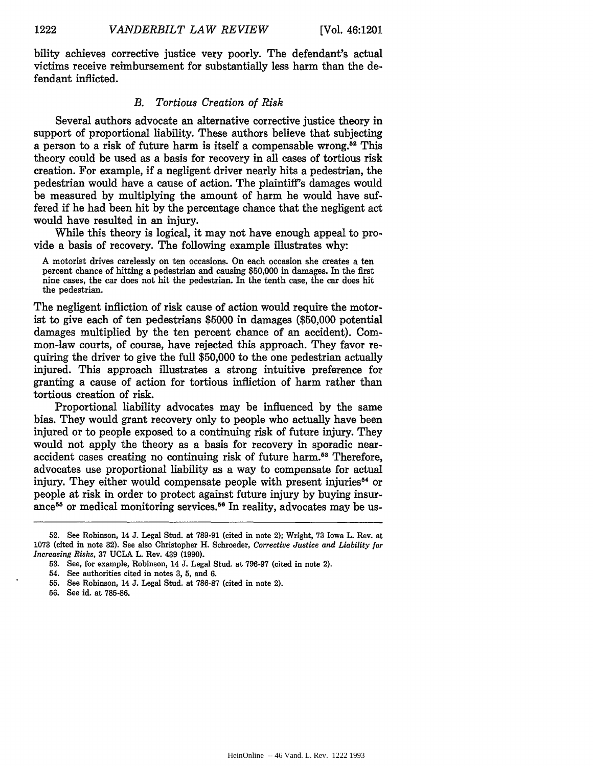bility achieves corrective justice very poorly. The defendant's actual victims receive reimbursement for substantially less harm than the defendant inflicted.

#### *B. Tortious Creation of Risk*

Several authors advocate an alternative corrective justice theory in support of proportional liability. These authors believe that subjecting a person to a risk of future harm is itself a compensable wrong.52 This theory could be used as a basis for recovery in all cases of tortious risk creation. For example, if a negligent driver nearly hits a pedestrian, the pedestrian would have a cause of action. The plaintiff's damages would be measured by multiplying the amount of harm he would have suffered if he had been hit by the percentage chance that the negligent act would have resulted in an injury.

While this theory is logical, it may not have enough appeal to provide a basis of recovery. The following example illustrates why:

A motorist drives carelessly on ten occasions. On each occasion she creates a ten percent chance of hitting a pedestrian and causing \$50,000 in damages. In the first nine cases, the car does not hit the pedestrian. In the tenth case, the car does hit the pedestrian.

The negligent infliction of risk cause of action would require the motorist to give each of ten pedestrians \$5000 in damages (\$50,000 potential damages multiplied by the ten percent chance of an accident). Common-law courts, of course, have rejected this approach. They favor requiring the driver to give the full \$50,000 to the one pedestrian actually injured. This approach illustrates a strong intuitive preference for granting a cause of action for tortious infliction of harm rather than tortious creation of risk.

Proportional liability advocates may be influenced by the same bias. They would grant recovery only to people who actually have been injured or to people exposed to a continuing risk of future injury. They would not apply the theory as a basis for recovery in sporadic nearaccident cases creating no continuing risk of future harm.<sup>53</sup> Therefore, advocates use proportional liability as a way to compensate for actual injury. They either would compensate people with present injuries<sup>54</sup> or people at risk in order to protect against future injury by buying insurance<sup>55</sup> or medical monitoring services.<sup>56</sup> In reality, advocates may be us-

54. See authorities cited in notes 3, 5, and 6.

56. See id. at 785-86.

<sup>52.</sup> See Robinson, 14 J. Legal Stud. at 789-91 (cited in note 2); Wright, 73 Iowa L. Rev. at 1073 (cited in note 32). See also Christopher H. Schroeder, *Corrective Justice and Liability for Increasing Risks,* 37 UCLA L. Rev. 439 (1990).

<sup>53.</sup> See, for example, Robinson, 14 J. Legal Stud. at 796-97 (cited in note 2).

<sup>55.</sup> See Robinson, 14 J. Legal Stud. at 786-87 (cited in note 2).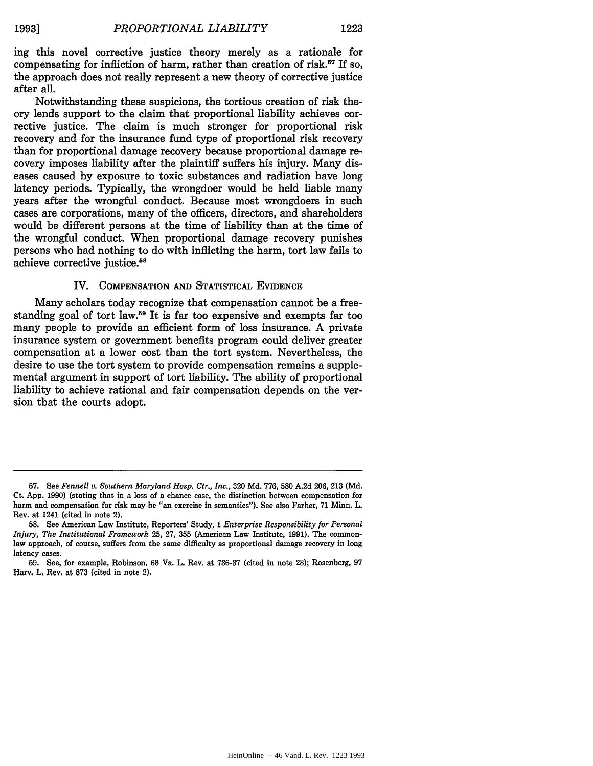ing this novel corrective justice theory merely as a rationale for compensating for infliction of harm, rather than creation of risk.<sup>57</sup> If so, the approach does not really represent a new theory of corrective justice after all.

Notwithstanding these suspicions, the tortious creation of risk theory lends support to the claim that proportional liability achieves corrective justice. The claim is much stronger for proportional risk recovery and for the insurance fund type of proportional risk recovery than for proportional damage recovery because proportional damage recovery imposes liability after the plaintiff suffers his injury. Many diseases caused by exposure to toxic substances and radiation have long latency periods. Typically, the wrongdoer would be held liable many years after the wrongful conduct. Because most wrongdoers in such cases are corporations, many of the officers, directors, and shareholders would be different persons at the time of liability than at the time of the wrongful conduct. When proportional damage recovery punishes persons who had nothing to do with inflicting the harm, tort law fails to achieve corrective justice.<sup>58</sup>

#### IV. **COMPENSATION AND** STATISTICAL EVIDENCE

Many scholars today recognize that compensation cannot be a freestanding goal of tort law.<sup>59</sup> It is far too expensive and exempts far too many people to provide an efficient form of loss insurance. A private insurance system or government benefits program could deliver greater compensation at a lower cost than the tort system. Nevertheless, the desire to use the tort system to provide compensation remains a supplemental argument in support of tort liability. The ability of proportional liability to achieve rational and fair compensation depends on the version that the courts adopt.

**<sup>57.</sup>** See *Fennell v. Southern Maryland Hosp. Ctr., Inc.,* 320 Md. 776, 580 A.2d 206, 213 (Md. Ct. App. 1990) (stating that in a loss of a chance case, the distinction between compensation for harm and compensation for risk may be "an exercise in semantics"). See also Farber, 71 Minn. L. Rev. at 1241 (cited in note 2).

<sup>58.</sup> See American Law Institute, Reporters' Study, 1 *Enterprise Responsibility for Personal Injury, The Institutional Framework* 25, 27, 355 (American Law Institute, 1991). The commonlaw approach, of course, suffers from the same difficulty as proportional damage recovery in long latency cases.

<sup>59.</sup> See, for example, Robinson, 68 Va. L. Rev. at 736-37 (cited in note 23); Rosenberg, 97 Harv. L. Rev. at 873 (cited in note 2).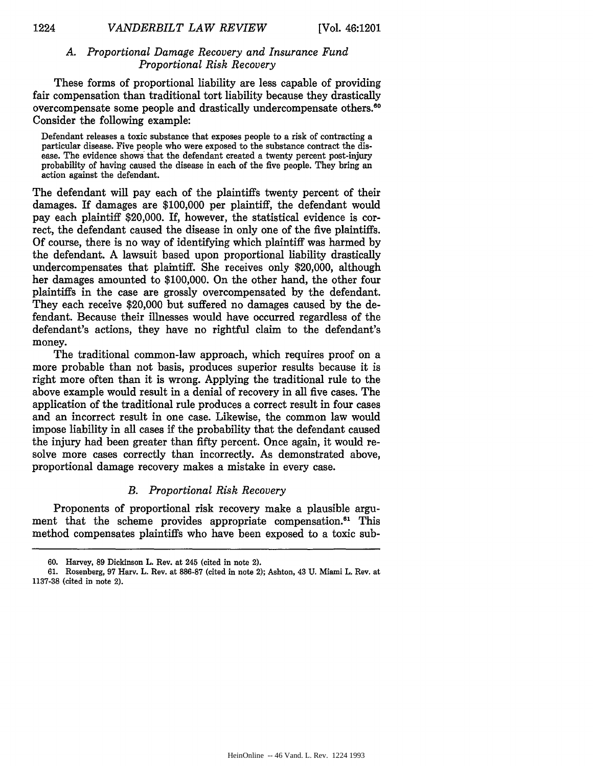#### *A. Proportional Damage Recovery and Insurance Fund Proportional Risk Recovery*

These forms of proportional liability are less capable of providing fair compensation than traditional tort liability because they drastically overcompensate some people and drastically undercompensate others.<sup>60</sup> Consider the following example:

Defendant releases a toxic substance that exposes people to a risk of contracting a particular disease. Five people who were exposed to the substance contract the disease. The evidence shows that the defendant created a twenty percent post-injury probability of having caused the disease in each of the five people. They bring an action against the defendant.

The defendant will pay each of the plaintiffs twenty percent of their damages. If damages are \$100,000 per plaintiff, the defendant would pay each plaintiff \$20,000. If, however, the statistical evidence is correct, the defendant caused the disease in only one of the five plaintiffs. Of course, there is no way of identifying which plaintiff was harmed by the defendant. A lawsuit based upon proportional liability drastically undercompensates that plaintiff. She receives only \$20,000, although her damages amounted to \$100,000. On the other hand, the other four plaintiffs in the case are grossly overcompensated by the defendant. They each receive \$20,000 but suffered no damages caused by the defendant. Because their illnesses would have occurred regardless of the defendant's actions, they have no rightful claim to the defendant's money.

The traditional common-law approach, which requires proof on a more probable than not basis, produces superior results because it is right more often than it is wrong. Applying the traditional rule to the above example would result in a denial of recovery in all five cases. The application of the traditional rule produces a correct result in four cases and an incorrect result in one case. Likewise, the common law would impose liability in all cases if the probability that the defendant caused the injury had been greater than fifty percent. Once again, it would resolve more cases correctly than incorrectly. As demonstrated above, proportional damage recovery makes a mistake in every case.

#### *B. Proportional Risk Recovery*

Proponents of proportional risk recovery make a plausible argument that the scheme provides appropriate compensation.<sup>61</sup> This method compensates plaintiffs who have been exposed to a toxic sub-

**<sup>60.</sup>** Harvey, **89** Dickinson L. Rev. at 245 (cited in note 2).

**<sup>61.</sup>** Rosenberg, **97** Harv. L. Rev. at 886-87 (cited in note 2); Ashton, 43 **U.** Miami L. Rev. at **1137-38** (cited in note 2).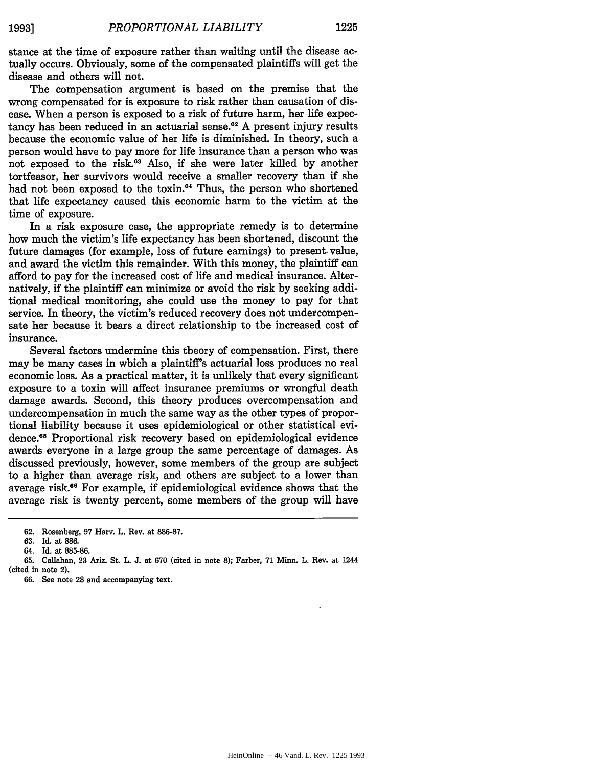stance at the time of exposure rather than waiting until the disease actually occurs. Obviously, some of the compensated plaintiffs will get the disease and others will not.

The compensation argument is based on the premise that the wrong compensated for is exposure to risk rather than causation of disease. When a person is exposed to a risk of future harm, her life expectancy has been reduced in an actuarial sense.<sup>62</sup> A present injury results because the economic value of her life is diminished. In theory, such a person would have to pay more for life insurance than a person who was not exposed to the risk.<sup>63</sup> Also, if she were later killed by another tortfeasor, her survivors would receive a smaller recovery than if she had not been exposed to the toxin.<sup>64</sup> Thus, the person who shortened that life expectancy caused this economic harm to the victim at the time of exposure.

In a risk exposure case, the appropriate remedy is to determine how much the victim's life expectancy has been shortened, discount the future damages (for example, loss of future earnings) to present. value, and award the victim this remainder. With this money, the plaintiff can afford to pay for the increased cost of life and medical insurance. Alternatively, if the plaintiff can minimize or avoid the risk by seeking additional medical monitoring, she could use the money to pay for that service. In theory, the victim's reduced recovery does not undercompensate her because it bears a direct relationship to the increased cost of insurance.

Several factors undermine this theory of compensation. First, there may be many cases in which a plaintiff's actuarial loss produces no real economic loss. As a practical matter, it is unlikely that every significant exposure to a toxin will affect insurance premiums or wrongful death damage awards. Second, this theory produces overcompensation and undercompensation in much the same way as the other types of proportional liability because it uses epidemiological or other statistical evidence.<sup>65</sup> Proportional risk recovery based on epidemiological evidence awards everyone in a large group the same percentage of damages. As discussed previously, however, some members of the group are subject to a higher than average risk, and others are subject to a lower than average risk.6 For example, **if** epidemiological evidence shows that the average risk is twenty percent, some members of the group will have

**<sup>62.</sup>** Rosenberg, **97** Harv. L. Rev. at **886-87.**

**<sup>63.</sup> Id.** at **886.**

<sup>64.</sup> **Id.** at **885-86.**

**<sup>65.</sup>** Callahan, **23** Ariz. St. L. **J.** at **670** (cited in note **8);** Farber, **71** Minn. L. Rev. **at** 1244

<sup>(</sup>cited in note 2).

**<sup>66.</sup>** See note **28** and accompanying text.